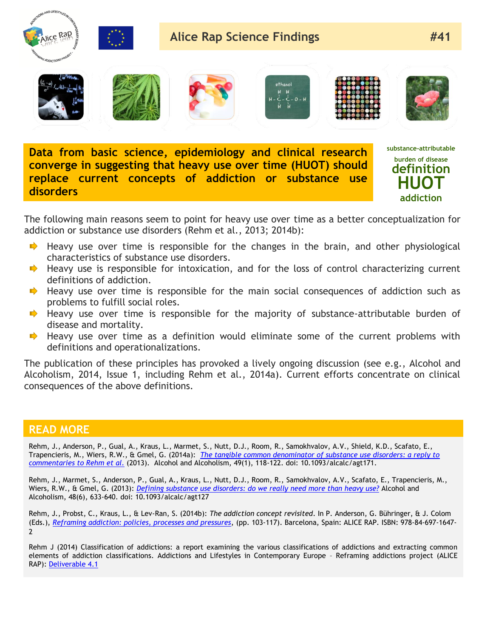

**Data from basic science, epidemiology and clinical research converge in suggesting that heavy use over time (HUOT) should replace current concepts of addiction or substance use disorders**

**substance-attributable burden of disease definition HUOT addiction**

The following main reasons seem to point for heavy use over time as a better conceptualization for addiction or substance use disorders (Rehm et al., 2013; 2014b):

- $\rightarrow$  Heavy use over time is responsible for the changes in the brain, and other physiological characteristics of substance use disorders.
- $\blacktriangleright$  Heavy use is responsible for intoxication, and for the loss of control characterizing current definitions of addiction.
- $\rightarrow$  Heavy use over time is responsible for the main social consequences of addiction such as problems to fulfill social roles.
- $\blacktriangleright$  Heavy use over time is responsible for the majority of substance-attributable burden of disease and mortality.
- Heavy use over time as a definition would eliminate some of the current problems with definitions and operationalizations.

The publication of these principles has provoked a lively ongoing discussion (see e.g., Alcohol and Alcoholism, 2014, Issue 1, including Rehm et al., 2014a). Current efforts concentrate on clinical consequences of the above definitions.

## **READ MORE**

Rehm, J., Anderson, P., Gual, A., Kraus, L., Marmet, S., Nutt, D.J., Room, R., Samokhvalov, A.V., Shield, K.D., Scafato, E., Trapencieris, M., Wiers, R.W., & Gmel, G. (2014a): *[The tangible common denominator of substance use disorders: a reply to](http://alcalc.oxfordjournals.org/content/49/1/118.1.long)  [commentaries to Rehm et al.](http://alcalc.oxfordjournals.org/content/49/1/118.1.long)* (2013). Alcohol and Alcoholism, 49(1), 118-122. doi: 10.1093/alcalc/agt171.

Rehm, J., Marmet, S., Anderson, P., Gual, A., Kraus, L., Nutt, D.J., Room, R., Samokhvalov, A.V., Scafato, E., Trapencieris, M., Wiers, R.W., & Gmel, G. (2013): *[Defining substance use disorders: do we really need more than heavy use?](http://alcalc.oxfordjournals.org/content/48/6/633)* Alcohol and Alcoholism, 48(6), 633-640. doi: 10.1093/alcalc/agt127

Rehm, J., Probst, C., Kraus, L., & Lev-Ran, S. (2014b): *The addiction concept revisited*. In P. Anderson, G. Bühringer, & J. Colom (Eds.), *[Reframing addiction: policies, processes and pressures](http://www.alicerap.eu/resources/documents/doc_download/216-alice-rap-e-book-reframing-addictions-policies-processes-and-pressures.html)*, (pp. 103-117). Barcelona, Spain: ALICE RAP. ISBN: 978-84-697-1647- 2

Rehm J (2014) Classification of addictions: a report examining the various classifications of addictions and extracting common elements of addiction classifications. Addictions and Lifestyles in Contemporary Europe – Reframing addictions project (ALICE RAP): [Deliverable 4.1](http://www.alicerap.eu/resources/documents/doc_download/160-deliverable-04-1-classification-of-addictions.html)